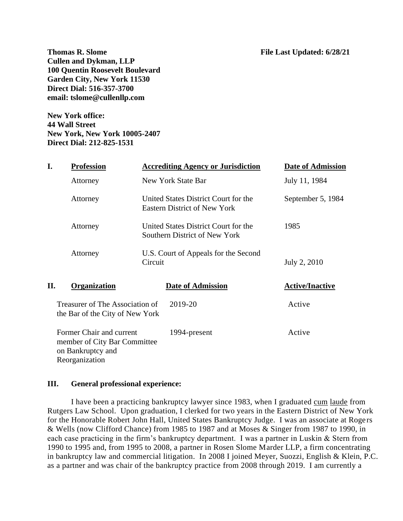**File Last Updated: 6/28/21 Cullen and Dykman, LLP 100 Quentin Roosevelt Boulevard Garden City, New York 11530 Direct Dial: 516-357-3700 email: tslome@cullenllp.com**

**New York office: 44 Wall Street New York, New York 10005-2407 Direct Dial: 212-825-1531**

| I.                                                                                                                                                                    | <b>Profession</b>   |                                                                                                                                                                                                         | <b>Accrediting Agency or Jurisdiction</b> | <b>Date of Admission</b> |
|-----------------------------------------------------------------------------------------------------------------------------------------------------------------------|---------------------|---------------------------------------------------------------------------------------------------------------------------------------------------------------------------------------------------------|-------------------------------------------|--------------------------|
|                                                                                                                                                                       | Attorney            |                                                                                                                                                                                                         | New York State Bar                        | July 11, 1984            |
|                                                                                                                                                                       | Attorney            | United States District Court for the<br><b>Eastern District of New York</b><br>United States District Court for the<br>Southern District of New York<br>U.S. Court of Appeals for the Second<br>Circuit |                                           | September 5, 1984        |
|                                                                                                                                                                       | Attorney            |                                                                                                                                                                                                         |                                           | 1985                     |
|                                                                                                                                                                       | Attorney            |                                                                                                                                                                                                         |                                           | July 2, 2010             |
| П.                                                                                                                                                                    | <b>Organization</b> |                                                                                                                                                                                                         | <b>Date of Admission</b>                  | <b>Active/Inactive</b>   |
| Treasurer of The Association of<br>the Bar of the City of New York<br>Former Chair and current<br>member of City Bar Committee<br>on Bankruptcy and<br>Reorganization |                     |                                                                                                                                                                                                         | 2019-20                                   | Active                   |
|                                                                                                                                                                       |                     |                                                                                                                                                                                                         | 1994-present                              | Active                   |

## **III. General professional experience:**

I have been a practicing bankruptcy lawyer since 1983, when I graduated cum laude from Rutgers Law School. Upon graduation, I clerked for two years in the Eastern District of New York for the Honorable Robert John Hall, United States Bankruptcy Judge. I was an associate at Rogers & Wells (now Clifford Chance) from 1985 to 1987 and at Moses & Singer from 1987 to 1990, in each case practicing in the firm's bankruptcy department. I was a partner in Luskin & Stern from 1990 to 1995 and, from 1995 to 2008, a partner in Rosen Slome Marder LLP, a firm concentrating in bankruptcy law and commercial litigation. In 2008 I joined Meyer, Suozzi, English & Klein, P.C. as a partner and was chair of the bankruptcy practice from 2008 through 2019. I am currently a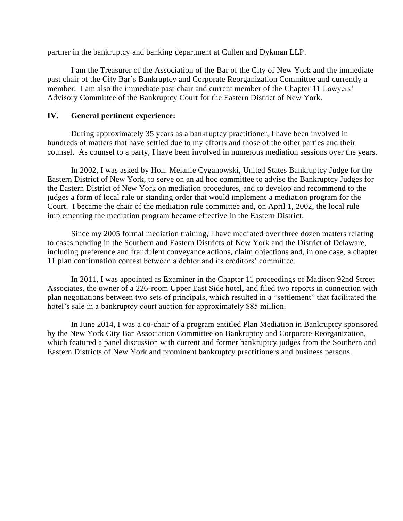partner in the bankruptcy and banking department at Cullen and Dykman LLP.

I am the Treasurer of the Association of the Bar of the City of New York and the immediate past chair of the City Bar's Bankruptcy and Corporate Reorganization Committee and currently a member. I am also the immediate past chair and current member of the Chapter 11 Lawyers' Advisory Committee of the Bankruptcy Court for the Eastern District of New York.

## **IV. General pertinent experience:**

During approximately 35 years as a bankruptcy practitioner, I have been involved in hundreds of matters that have settled due to my efforts and those of the other parties and their counsel. As counsel to a party, I have been involved in numerous mediation sessions over the years.

In 2002, I was asked by Hon. Melanie Cyganowski, United States Bankruptcy Judge for the Eastern District of New York, to serve on an ad hoc committee to advise the Bankruptcy Judges for the Eastern District of New York on mediation procedures, and to develop and recommend to the judges a form of local rule or standing order that would implement a mediation program for the Court. I became the chair of the mediation rule committee and, on April 1, 2002, the local rule implementing the mediation program became effective in the Eastern District.

Since my 2005 formal mediation training, I have mediated over three dozen matters relating to cases pending in the Southern and Eastern Districts of New York and the District of Delaware, including preference and fraudulent conveyance actions, claim objections and, in one case, a chapter 11 plan confirmation contest between a debtor and its creditors' committee.

In 2011, I was appointed as Examiner in the Chapter 11 proceedings of Madison 92nd Street Associates, the owner of a 226-room Upper East Side hotel, and filed two reports in connection with plan negotiations between two sets of principals, which resulted in a "settlement" that facilitated the hotel's sale in a bankruptcy court auction for approximately \$85 million.

In June 2014, I was a co-chair of a program entitled Plan Mediation in Bankruptcy sponsored by the New York City Bar Association Committee on Bankruptcy and Corporate Reorganization, which featured a panel discussion with current and former bankruptcy judges from the Southern and Eastern Districts of New York and prominent bankruptcy practitioners and business persons.